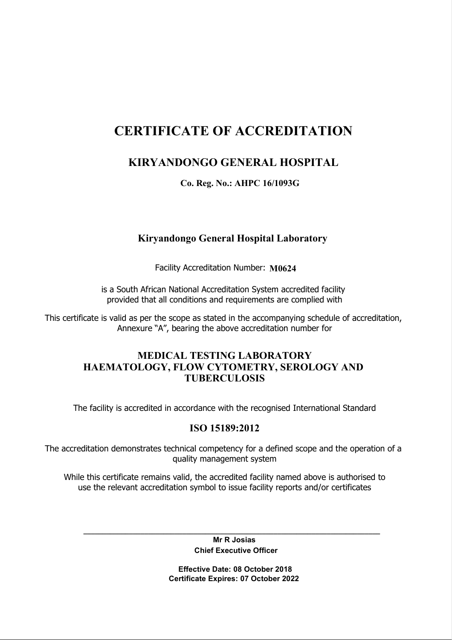# CERTIFICATE OF ACCREDITATION

# KIRYANDONGO GENERAL HOSPITAL

Co. Reg. No.: AHPC 16/1093G

## Kiryandongo General Hospital Laboratory

Facility Accreditation Number: M0624

is a South African National Accreditation System accredited facility provided that all conditions and requirements are complied with

This certificate is valid as per the scope as stated in the accompanying schedule of accreditation, Annexure "A", bearing the above accreditation number for

### MEDICAL TESTING LABORATORY HAEMATOLOGY, FLOW CYTOMETRY, SEROLOGY AND TUBERCULOSIS

The facility is accredited in accordance with the recognised International Standard

## ISO 15189:2012

The accreditation demonstrates technical competency for a defined scope and the operation of a quality management system

While this certificate remains valid, the accredited facility named above is authorised to use the relevant accreditation symbol to issue facility reports and/or certificates

> Mr R Josias Chief Executive Officer

\_\_\_\_\_\_\_\_\_\_\_\_\_\_\_\_\_\_\_\_\_\_\_\_\_\_\_\_\_\_\_\_\_\_\_\_\_\_\_\_\_\_\_\_\_\_\_\_\_\_\_\_\_\_\_\_\_\_\_\_\_\_\_\_\_\_\_\_\_\_\_\_\_\_\_\_\_\_

 Effective Date: 08 October 2018 Certificate Expires: 07 October 2022